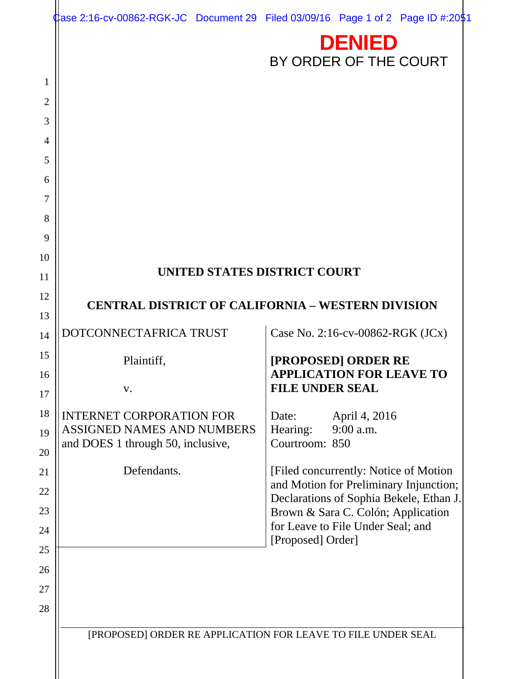| ase 2:16-cv-00862-RGK-JC Document 29 Filed 03/09/16 Page 1 of 2 Page ID #:2051 |                                                                               |
|--------------------------------------------------------------------------------|-------------------------------------------------------------------------------|
|                                                                                | <b>DENIED</b><br>BY ORDER OF THE COURT                                        |
|                                                                                |                                                                               |
|                                                                                |                                                                               |
|                                                                                |                                                                               |
|                                                                                |                                                                               |
|                                                                                |                                                                               |
|                                                                                |                                                                               |
|                                                                                |                                                                               |
|                                                                                |                                                                               |
|                                                                                |                                                                               |
|                                                                                |                                                                               |
| UNITED STATES DISTRICT COURT                                                   |                                                                               |
| <b>CENTRAL DISTRICT OF CALIFORNIA - WESTERN DIVISION</b>                       |                                                                               |
|                                                                                |                                                                               |
| DOTCONNECTAFRICA TRUST                                                         | Case No. 2:16-cv-00862-RGK (JCx)                                              |
| Plaintiff,                                                                     | [PROPOSED] ORDER RE                                                           |
| V.                                                                             | <b>APPLICATION FOR LEAVE TO</b><br><b>FILE UNDER SEAL</b>                     |
|                                                                                |                                                                               |
| <b>INTERNET CORPORATION FOR</b><br>ASSIGNED NAMES AND NUMBERS                  | April 4, 2016<br>Date:<br>Hearing:<br>9:00 a.m.                               |
| and DOES 1 through 50, inclusive,                                              | Courtroom: 850                                                                |
| Defendants.                                                                    | [Filed concurrently: Notice of Motion]                                        |
|                                                                                | and Motion for Preliminary Injunction;                                        |
|                                                                                | Declarations of Sophia Bekele, Ethan J.<br>Brown & Sara C. Colón; Application |
|                                                                                | for Leave to File Under Seal; and                                             |
|                                                                                | [Proposed] Order]                                                             |
|                                                                                |                                                                               |
|                                                                                |                                                                               |
|                                                                                |                                                                               |
|                                                                                |                                                                               |